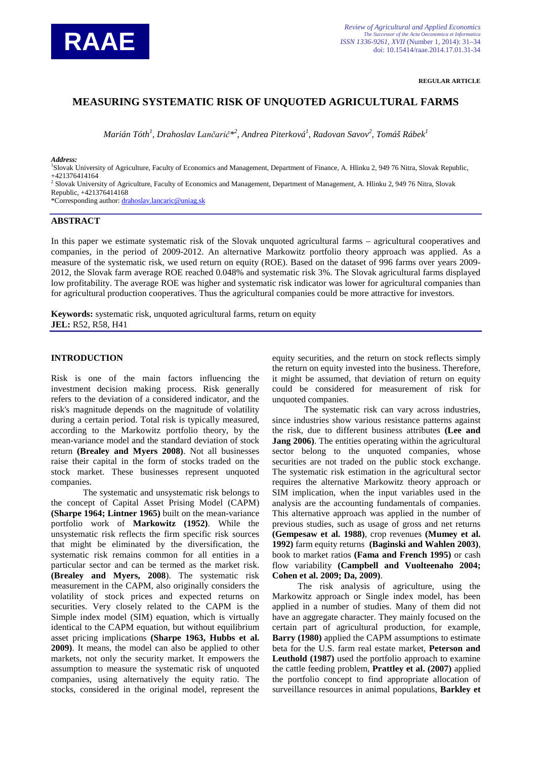

**REGULAR ARTICLE**

# **MEASURING SYSTEMATIC RISK OF UNQUOTED AGRICULTURAL FARMS**

*Marián Tóth<sup>1</sup> , Drahoslav Lančarič\*<sup>2</sup> , Andrea Piterková<sup>1</sup> , Radovan Savov<sup>2</sup> , Tomáš Rábek<sup>1</sup>*

*Address:*

1 Slovak University of Agriculture, Faculty of Economics and Management, Department of Finance, A. Hlinku 2, 949 76 Nitra, Slovak Republic, +421376414164

<sup>2</sup> Slovak University of Agriculture, Faculty of Economics and Management, Department of Management, A. Hlinku 2, 949 76 Nitra, Slovak Republic, +421376414168

\*Corresponding author: [drahoslav.lancaric@uniag.sk](mailto:drahoslav.lancaric@uniag.sk)

### **ABSTRACT**

In this paper we estimate systematic risk of the Slovak unquoted agricultural farms – agricultural cooperatives and companies, in the period of 2009-2012. An alternative Markowitz portfolio theory approach was applied. As a measure of the systematic risk, we used return on equity (ROE). Based on the dataset of 996 farms over years 2009- 2012, the Slovak farm average ROE reached 0.048% and systematic risk 3%. The Slovak agricultural farms displayed low profitability. The average ROE was higher and systematic risk indicator was lower for agricultural companies than for agricultural production cooperatives. Thus the agricultural companies could be more attractive for investors.

**Keywords:** systematic risk, unquoted agricultural farms, return on equity **JEL:** R52, R58, H41

#### **INTRODUCTION**

Risk is one of the main factors influencing the investment decision making process. Risk generally refers to the deviation of a considered indicator, and the risk's magnitude depends on the magnitude of volatility during a certain period. Total risk is typically measured, according to the Markowitz portfolio theory, by the mean-variance model and the standard deviation of stock return **(Brealey and Myers 2008)**. Not all businesses raise their capital in the form of stocks traded on the stock market. These businesses represent unquoted companies.

The systematic and unsystematic risk belongs to the concept of Capital Asset Prising Model (CAPM) **(Sharpe 1964; Lintner 1965)** built on the mean-variance portfolio work of **Markowitz (1952)**. While the unsystematic risk reflects the firm specific risk sources that might be eliminated by the diversification, the systematic risk remains common for all entities in a particular sector and can be termed as the market risk. **(Brealey and Myers, 2008**). The systematic risk measurement in the CAPM, also originally considers the volatility of stock prices and expected returns on securities. Very closely related to the CAPM is the Simple index model (SIM) equation, which is virtually identical to the CAPM equation, but without equilibrium asset pricing implications **(Sharpe 1963, Hubbs et al. 2009)**. It means, the model can also be applied to other markets, not only the security market. It empowers the assumption to measure the systematic risk of unquoted companies, using alternatively the equity ratio. The stocks, considered in the original model, represent the

equity securities, and the return on stock reflects simply the return on equity invested into the business. Therefore, it might be assumed, that deviation of return on equity could be considered for measurement of risk for unquoted companies.

The systematic risk can vary across industries, since industries show various resistance patterns against the risk, due to different business attributes **(Lee and Jang 2006**). The entities operating within the agricultural sector belong to the unquoted companies, whose securities are not traded on the public stock exchange. The systematic risk estimation in the agricultural sector requires the alternative Markowitz theory approach or SIM implication, when the input variables used in the analysis are the accounting fundamentals of companies. This alternative approach was applied in the number of previous studies, such as usage of gross and net returns **(Gempesaw et al. 1988)**, crop revenues **(Mumey et al. 1992)** farm equity returns **(Baginski and Wahlen 2003)**, book to market ratios **(Fama and French 1995)** or cash flow variability **(Campbell and Vuolteenaho 2004; Cohen et al. 2009; Da, 2009)**.

The risk analysis of agriculture, using the Markowitz approach or Single index model, has been applied in a number of studies. Many of them did not have an aggregate character. They mainly focused on the certain part of agricultural production, for example, **Barry (1980)** applied the CAPM assumptions to estimate beta for the U.S. farm real estate market, **Peterson and Leuthold (1987)** used the portfolio approach to examine the cattle feeding problem, **Prattley et al. (2007)** applied the portfolio concept to find appropriate allocation of surveillance resources in animal populations, **Barkley et**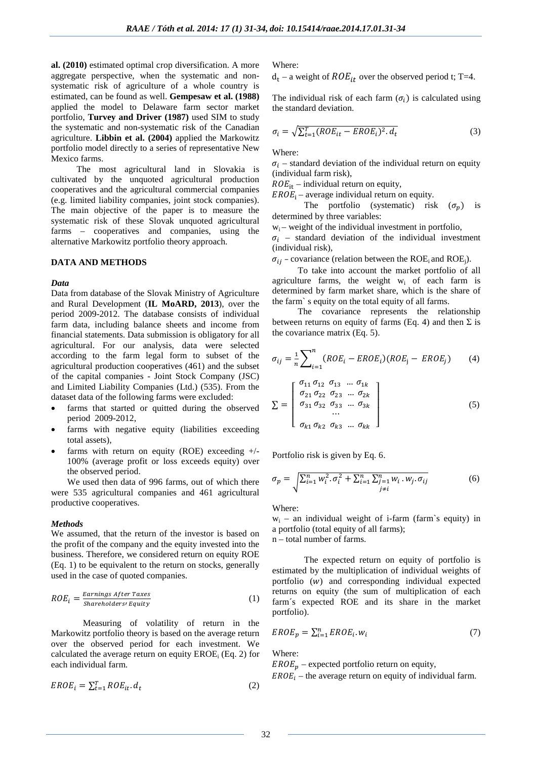**al. (2010)** estimated optimal crop diversification. A more aggregate perspective, when the systematic and nonsystematic risk of agriculture of a whole country is estimated, can be found as well. **Gempesaw et al. (1988)** applied the model to Delaware farm sector market portfolio, **Turvey and Driver (1987)** used SIM to study the systematic and non-systematic risk of the Canadian agriculture. **Libbin et al. (2004)** applied the Markowitz portfolio model directly to a series of representative New Mexico farms.

The most agricultural land in Slovakia is cultivated by the unquoted agricultural production cooperatives and the agricultural commercial companies (e.g. limited liability companies, joint stock companies). The main objective of the paper is to measure the systematic risk of these Slovak unquoted agricultural farms – cooperatives and companies, using the alternative Markowitz portfolio theory approach.

#### **DATA AND METHODS**

#### *Data*

Data from database of the Slovak Ministry of Agriculture and Rural Development (**IL MoARD, 2013**), over the period 2009-2012. The database consists of individual farm data, including balance sheets and income from financial statements. Data submission is obligatory for all agricultural. For our analysis, data were selected according to the farm legal form to subset of the agricultural production cooperatives (461) and the subset of the capital companies - Joint Stock Company (JSC) and Limited Liability Companies (Ltd.) (535). From the dataset data of the following farms were excluded:

- farms that started or quitted during the observed period 2009-2012,
- farms with negative equity (liabilities exceeding total assets),
- farms with return on equity (ROE) exceeding  $+/-$ 100% (average profit or loss exceeds equity) over the observed period.

We used then data of 996 farms, out of which there were 535 agricultural companies and 461 agricultural productive cooperatives.

#### *Methods*

We assumed, that the return of the investor is based on the profit of the company and the equity invested into the business. Therefore, we considered return on equity ROE (Eq. 1) to be equivalent to the return on stocks, generally used in the case of quoted companies.

$$
ROE_i = \frac{Earnings\,After\,Taxes}{Shareholders\,Equity}
$$
 (1)

Measuring of volatility of return in the Markowitz portfolio theory is based on the average return over the observed period for each investment. We calculated the average return on equity  $EROE$ <sub>i</sub> (Eq. 2) for each individual farm.

$$
EROE_t = \sum_{t=1}^{T} ROE_{it}. d_t
$$
 (2)

Where:

 $d_t$  – a weight of  $ROE_{it}$  over the observed period t; T=4.

The individual risk of each farm  $(\sigma_i)$  is calculated using the standard deviation.

$$
\sigma_i = \sqrt{\sum_{t=1}^{T} (ROE_{it} - EROE_i)^2 \cdot d_t}
$$
\n(3)

Where:

 $\sigma_i$  – standard deviation of the individual return on equity (individual farm risk),

 $ROE_{it}$  – individual return on equity,

 $EROE_i$  – average individual return on equity.

The portfolio (systematic) risk  $(\sigma_n)$  is determined by three variables:

 $w_i$  – weight of the individual investment in portfolio,

 $\sigma_i$  – standard deviation of the individual investment (individual risk),

 $\sigma_{ij}$  – covariance (relation between the ROE<sub>i</sub> and ROE<sub>i</sub>).

To take into account the market portfolio of all agriculture farms, the weight  $w_i$  of each farm is determined by farm market share, which is the share of the farm` s equity on the total equity of all farms.

The covariance represents the relationship between returns on equity of farms (Eq. 4) and then  $\Sigma$  is the covariance matrix (Eq. 5).

$$
\sigma_{ij} = \frac{1}{n} \sum_{i=1}^{n} (ROE_i - EROE_i)(ROE_j - EROE_j) \tag{4}
$$

$$
\Sigma = \begin{bmatrix} \sigma_{11} \sigma_{12} & \sigma_{13} & \dots & \sigma_{1k} \\ \sigma_{21} \sigma_{22} & \sigma_{23} & \dots & \sigma_{2k} \\ \sigma_{31} \sigma_{32} & \sigma_{33} & \dots & \sigma_{3k} \\ \dots & \dots & \dots & \dots \\ \sigma_{k1} \sigma_{k2} & \sigma_{k3} & \dots & \sigma_{kk} \end{bmatrix}
$$
 (5)

Portfolio risk is given by Eq. 6.

$$
\sigma_p = \sqrt{\sum_{i=1}^n w_i^2 \cdot \sigma_i^2 + \sum_{i=1}^n \sum_{\substack{j=1 \ j \neq i}}^n w_i \cdot w_j \cdot \sigma_{ij}}
$$
(6)

Where:

 $w_i$  – an individual weight of i-farm (farm's equity) in a portfolio (total equity of all farms); n – total number of farms.

The expected return on equity of portfolio is estimated by the multiplication of individual weights of portfolio  $(w)$  and corresponding individual expected returns on equity (the sum of multiplication of each farm´s expected ROE and its share in the market portfolio).

$$
EROE_p = \sum_{i=1}^n EROE_i. w_i \tag{7}
$$

Where:

 $EROE_n$  – expected portfolio return on equity,

 $EROE<sub>i</sub>$  – the average return on equity of individual farm.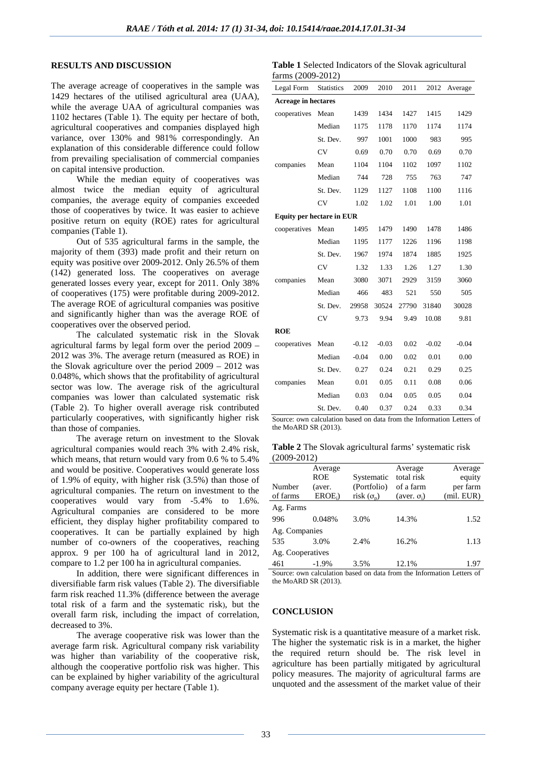### **RESULTS AND DISCUSSION**

The average acreage of cooperatives in the sample was 1429 hectares of the utilised agricultural area (UAA), while the average UAA of agricultural companies was 1102 hectares (Table 1). The equity per hectare of both, agricultural cooperatives and companies displayed high variance, over 130% and 981% correspondingly. An explanation of this considerable difference could follow from prevailing specialisation of commercial companies on capital intensive production.

While the median equity of cooperatives was almost twice the median equity of agricultural companies, the average equity of companies exceeded those of cooperatives by twice. It was easier to achieve positive return on equity (ROE) rates for agricultural companies (Table 1).

Out of 535 agricultural farms in the sample, the majority of them (393) made profit and their return on equity was positive over 2009-2012. Only 26.5% of them (142) generated loss. The cooperatives on average generated losses every year, except for 2011. Only 38% of cooperatives (175) were profitable during 2009-2012. The average ROE of agricultural companies was positive and significantly higher than was the average ROE of cooperatives over the observed period.

The calculated systematic risk in the Slovak agricultural farms by legal form over the period 2009 – 2012 was 3%. The average return (measured as ROE) in the Slovak agriculture over the period 2009 – 2012 was 0.048%, which shows that the profitability of agricultural sector was low. The average risk of the agricultural companies was lower than calculated systematic risk (Table 2). To higher overall average risk contributed particularly cooperatives, with significantly higher risk than those of companies.

The average return on investment to the Slovak agricultural companies would reach 3% with 2.4% risk, which means, that return would vary from 0.6 % to 5.4% and would be positive. Cooperatives would generate loss of 1.9% of equity, with higher risk (3.5%) than those of agricultural companies. The return on investment to the cooperatives would vary from -5.4% to 1.6%. Agricultural companies are considered to be more efficient, they display higher profitability compared to cooperatives. It can be partially explained by high number of co-owners of the cooperatives, reaching approx. 9 per 100 ha of agricultural land in 2012, compare to 1.2 per 100 ha in agricultural companies.

In addition, there were significant differences in diversifiable farm risk values (Table 2). The diversifiable farm risk reached 11.3% (difference between the average total risk of a farm and the systematic risk), but the overall farm risk, including the impact of correlation, decreased to 3%.

The average cooperative risk was lower than the average farm risk. Agricultural company risk variability was higher than variability of the cooperative risk, although the cooperative portfolio risk was higher. This can be explained by higher variability of the agricultural company average equity per hectare (Table 1).

**Table 1** Selected Indicators of the Slovak agricultural  $f_{\text{orms}}$  (2000-2012)

| $\mu$ and $(2002, 2012)$         |                   |         |         |       |         |         |  |  |
|----------------------------------|-------------------|---------|---------|-------|---------|---------|--|--|
| Legal Form                       | <b>Statistics</b> | 2009    | 2010    | 2011  | 2012    | Average |  |  |
| <b>Acreage in hectares</b>       |                   |         |         |       |         |         |  |  |
| cooperatives                     | Mean              | 1439    | 1434    | 1427  | 1415    | 1429    |  |  |
|                                  | Median            | 1175    | 1178    | 1170  | 1174    | 1174    |  |  |
|                                  | St. Dev.          | 997     | 1001    | 1000  | 983     | 995     |  |  |
|                                  | CV                | 0.69    | 0.70    | 0.70  | 0.69    | 0.70    |  |  |
| companies                        | Mean              | 1104    | 1104    | 1102  | 1097    | 1102    |  |  |
|                                  | Median            | 744     | 728     | 755   | 763     | 747     |  |  |
|                                  | St. Dev.          | 1129    | 1127    | 1108  | 1100    | 1116    |  |  |
|                                  | CV                | 1.02    | 1.02    | 1.01  | 1.00    | 1.01    |  |  |
| <b>Equity per hectare in EUR</b> |                   |         |         |       |         |         |  |  |
| cooperatives                     | Mean              | 1495    | 1479    | 1490  | 1478    | 1486    |  |  |
|                                  | Median            | 1195    | 1177    | 1226  | 1196    | 1198    |  |  |
|                                  | St. Dev.          | 1967    | 1974    | 1874  | 1885    | 1925    |  |  |
|                                  | CV                | 1.32    | 1.33    | 1.26  | 1.27    | 1.30    |  |  |
| companies                        | Mean              | 3080    | 3071    | 2929  | 3159    | 3060    |  |  |
|                                  | Median            | 466     | 483     | 521   | 550     | 505     |  |  |
|                                  | St. Dev.          | 29958   | 30524   | 27790 | 31840   | 30028   |  |  |
|                                  | <b>CV</b>         | 9.73    | 9.94    | 9.49  | 10.08   | 9.81    |  |  |
| <b>ROE</b>                       |                   |         |         |       |         |         |  |  |
| cooperatives                     | Mean              | $-0.12$ | $-0.03$ | 0.02  | $-0.02$ | $-0.04$ |  |  |
|                                  | Median            | $-0.04$ | 0.00    | 0.02  | 0.01    | 0.00    |  |  |
|                                  | St. Dev.          | 0.27    | 0.24    | 0.21  | 0.29    | 0.25    |  |  |
| companies                        | Mean              | 0.01    | 0.05    | 0.11  | 0.08    | 0.06    |  |  |
|                                  | Median            | 0.03    | 0.04    | 0.05  | 0.05    | 0.04    |  |  |
|                                  | St. Dev.          | 0.40    | 0.37    | 0.24  | 0.33    | 0.34    |  |  |

Source: own calculation based on data from the Information Letters of the MoARD SR (2013).

**Table 2** The Slovak agricultural farms' systematic risk  $(2000.2012)$ 

|                  | $1 - 00 - 101$ |                   |                       |                   |  |  |  |  |  |
|------------------|----------------|-------------------|-----------------------|-------------------|--|--|--|--|--|
|                  | Average<br>ROE | Systematic        | Average<br>total risk | Average<br>equity |  |  |  |  |  |
| Number           | (aver.         | (Portfolio)       | of a farm             | per farm          |  |  |  |  |  |
| of farms         | $EROE_i$       | risk $(\sigma_n)$ | (aver. $\sigma_i$ )   | (mil. EUR)        |  |  |  |  |  |
| Ag. Farms        |                |                   |                       |                   |  |  |  |  |  |
| 996              | 0.048%         | 3.0%              | 14.3%                 | 1.52              |  |  |  |  |  |
| Ag. Companies    |                |                   |                       |                   |  |  |  |  |  |
| 535              | 3.0%           | 2.4%              | 16.2%                 | 1.13              |  |  |  |  |  |
| Ag. Cooperatives |                |                   |                       |                   |  |  |  |  |  |
| 461              | $-1.9%$        | 3.5%              | 12.1%                 | 1.97              |  |  |  |  |  |

Source: own calculation based on data from the Information Letters of the MoARD SR (2013).

### **CONCLUSION**

Systematic risk is a quantitative measure of a market risk. The higher the systematic risk is in a market, the higher the required return should be. The risk level in agriculture has been partially mitigated by agricultural policy measures. The majority of agricultural farms are unquoted and the assessment of the market value of their